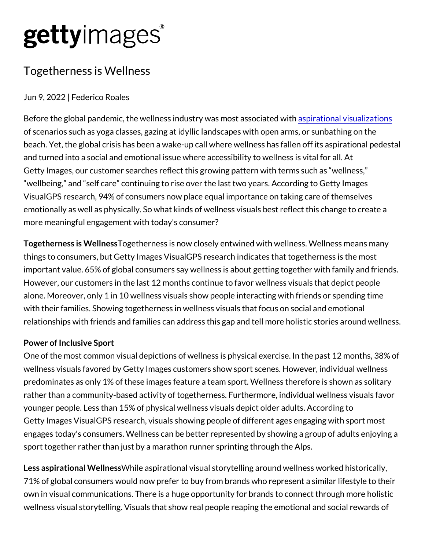## gettyimages®

## Togetherness is Wellness

Jun 9, 2022 | Federico Roales

Before the global pandemic, the wellness industry inveation mads  $\psi$  is as a biodiation of scenarios such as yoga classes, gazing at idyllic landscapes wit beach. Yet, the global crisis has been a wake-up call where wellnes and turned into a social and emotional issue where accessibility to Getty Images, our customer searches reflect this growing pattern w wellbeing, and self care continuing to rise over the last two years. VisualGPS research, 94% of consumers now place equal importance emotionally as well as physically. So what kinds of wellness visual more meaningful engagement with today's consumer?

Togetherness is TM geltheess aess is now closely entwined with wellness things to consumers, but Getty Images VisualGPS research indicate important value. 65% of global consumers say wellness is about get However, our customers in the last 12 months continue to favor wel alone. Moreover, only 1 in 10 wellness visuals show people interac with their families. Showing togetherness in wellness visuals that f relationships with friends and families can address this gap and tel

## Power of Inclusive Sport

One of the most common visual depictions of wellness is physical e wellness visuals favored by Getty Images customers show sport sce predominates as only 1% of these images feature a team sport. Wel rather than a community-based activity of togetherness. Furthermor younger people. Less than 15% of physical wellness visuals depict Getty Images VisualGPS research, visuals showing people of different ages with sport and ages with sport most engages today's consumers. Wellness can be better represented by sport together rather than just by a marathon runner sprinting throu

Less aspirationa WWidelmaesspsirational visual storytelling around wellne 71% of global consumers would now prefer to buy from brands who own in visual communications. There is a huge opportunity for bran wellness visual storytelling. Visuals that show real people reaping